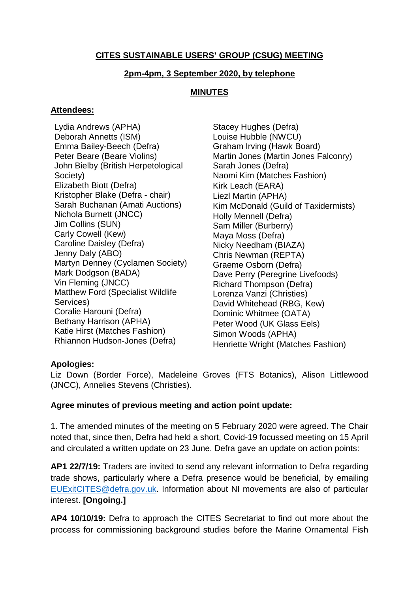### **CITES SUSTAINABLE USERS' GROUP (CSUG) MEETING**

#### **2pm-4pm, 3 September 2020, by telephone**

#### **MINUTES**

#### **Attendees:**

Lydia Andrews (APHA) Deborah Annetts (ISM) Emma Bailey-Beech (Defra) Peter Beare (Beare Violins) John Bielby (British Herpetological Society) Elizabeth Biott (Defra) Kristopher Blake (Defra - chair) Sarah Buchanan (Amati Auctions) Nichola Burnett (JNCC) Jim Collins (SUN) Carly Cowell (Kew) Caroline Daisley (Defra) Jenny Daly (ABO) Martyn Denney (Cyclamen Society) Mark Dodgson (BADA) Vin Fleming (JNCC) Matthew Ford (Specialist Wildlife Services) Coralie Harouni (Defra) Bethany Harrison (APHA) Katie Hirst (Matches Fashion) Rhiannon Hudson-Jones (Defra)

Stacey Hughes (Defra) Louise Hubble (NWCU) Graham Irving (Hawk Board) Martin Jones (Martin Jones Falconry) Sarah Jones (Defra) Naomi Kim (Matches Fashion) Kirk Leach (EARA) Liezl Martin (APHA) Kim McDonald (Guild of Taxidermists) Holly Mennell (Defra) Sam Miller (Burberry) Maya Moss (Defra) Nicky Needham (BIAZA) Chris Newman (REPTA) Graeme Osborn (Defra) Dave Perry (Peregrine Livefoods) Richard Thompson (Defra) Lorenza Vanzi (Christies) David Whitehead (RBG, Kew) Dominic Whitmee (OATA) Peter Wood (UK Glass Eels) Simon Woods (APHA) Henriette Wright (Matches Fashion)

### **Apologies:**

Liz Down (Border Force), Madeleine Groves (FTS Botanics), Alison Littlewood (JNCC), Annelies Stevens (Christies).

#### **Agree minutes of previous meeting and action point update:**

1. The amended minutes of the meeting on 5 February 2020 were agreed. The Chair noted that, since then, Defra had held a short, Covid-19 focussed meeting on 15 April and circulated a written update on 23 June. Defra gave an update on action points:

**AP1 22/7/19:** Traders are invited to send any relevant information to Defra regarding trade shows, particularly where a Defra presence would be beneficial, by emailing EUExitCITES@defra.gov.uk. Information about NI movements are also of particular interest. **[Ongoing.]**

**AP4 10/10/19:** Defra to approach the CITES Secretariat to find out more about the process for commissioning background studies before the Marine Ornamental Fish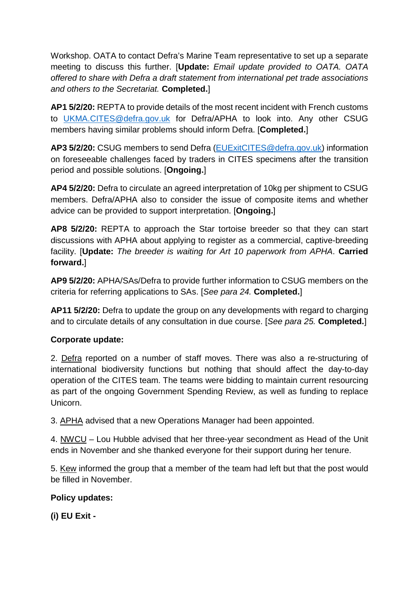Workshop. OATA to contact Defra's Marine Team representative to set up a separate meeting to discuss this further. [**Update:** *Email update provided to OATA. OATA offered to share with Defra a draft statement from international pet trade associations and others to the Secretariat.* **Completed.**]

**AP1 5/2/20:** REPTA to provide details of the most recent incident with French customs to UKMA.CITES@defra.gov.uk for Defra/APHA to look into. Any other CSUG members having similar problems should inform Defra. [**Completed.**]

**AP3 5/2/20:** CSUG members to send Defra (EUExitCITES@defra.gov.uk) information on foreseeable challenges faced by traders in CITES specimens after the transition period and possible solutions. [**Ongoing.**]

**AP4 5/2/20:** Defra to circulate an agreed interpretation of 10kg per shipment to CSUG members. Defra/APHA also to consider the issue of composite items and whether advice can be provided to support interpretation. [**Ongoing.**]

**AP8 5/2/20:** REPTA to approach the Star tortoise breeder so that they can start discussions with APHA about applying to register as a commercial, captive-breeding facility. [**Update:** *The breeder is waiting for Art 10 paperwork from APHA*. **Carried forward.**]

**AP9 5/2/20:** APHA/SAs/Defra to provide further information to CSUG members on the criteria for referring applications to SAs. [*See para 24.* **Completed.**]

**AP11 5/2/20:** Defra to update the group on any developments with regard to charging and to circulate details of any consultation in due course. [*See para 25.* **Completed.**]

# **Corporate update:**

2. Defra reported on a number of staff moves. There was also a re-structuring of international biodiversity functions but nothing that should affect the day-to-day operation of the CITES team. The teams were bidding to maintain current resourcing as part of the ongoing Government Spending Review, as well as funding to replace Unicorn.

3. APHA advised that a new Operations Manager had been appointed.

4. NWCU – Lou Hubble advised that her three-year secondment as Head of the Unit ends in November and she thanked everyone for their support during her tenure.

5. Kew informed the group that a member of the team had left but that the post would be filled in November.

# **Policy updates:**

**(i) EU Exit -**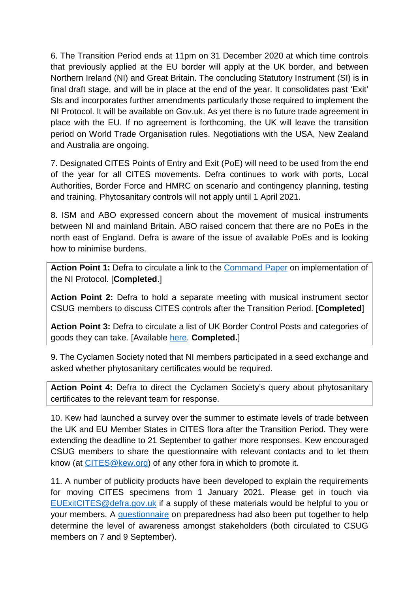6. The Transition Period ends at 11pm on 31 December 2020 at which time controls that previously applied at the EU border will apply at the UK border, and between Northern Ireland (NI) and Great Britain. The concluding Statutory Instrument (SI) is in final draft stage, and will be in place at the end of the year. It consolidates past 'Exit' SIs and incorporates further amendments particularly those required to implement the NI Protocol. It will be available on Gov.uk. As yet there is no future trade agreement in place with the EU. If no agreement is forthcoming, the UK will leave the transition period on World Trade Organisation rules. Negotiations with the USA, New Zealand and Australia are ongoing.

7. Designated CITES Points of Entry and Exit (PoE) will need to be used from the end of the year for all CITES movements. Defra continues to work with ports, Local Authorities, Border Force and HMRC on scenario and contingency planning, testing and training. Phytosanitary controls will not apply until 1 April 2021.

8. ISM and ABO expressed concern about the movement of musical instruments between NI and mainland Britain. ABO raised concern that there are no PoEs in the north east of England. Defra is aware of the issue of available PoEs and is looking how to minimise burdens.

**Action Point 1:** Defra to circulate a link to the Command Paper on implementation of the NI Protocol. [**Completed**.]

**Action Point 2:** Defra to hold a separate meeting with musical instrument sector CSUG members to discuss CITES controls after the Transition Period. [**Completed**]

**Action Point 3:** Defra to circulate a list of UK Border Control Posts and categories of goods they can take. [Available here. **Completed.**]

9. The Cyclamen Society noted that NI members participated in a seed exchange and asked whether phytosanitary certificates would be required.

**Action Point 4:** Defra to direct the Cyclamen Society's query about phytosanitary certificates to the relevant team for response.

10. Kew had launched a survey over the summer to estimate levels of trade between the UK and EU Member States in CITES flora after the Transition Period. They were extending the deadline to 21 September to gather more responses. Kew encouraged CSUG members to share the questionnaire with relevant contacts and to let them know (at CITES@kew.org) of any other fora in which to promote it.

11. A number of publicity products have been developed to explain the requirements for moving CITES specimens from 1 January 2021. Please get in touch via EUExitCITES@defra.gov.uk if a supply of these materials would be helpful to you or your members. A questionnaire on preparedness had also been put together to help determine the level of awareness amongst stakeholders (both circulated to CSUG members on 7 and 9 September).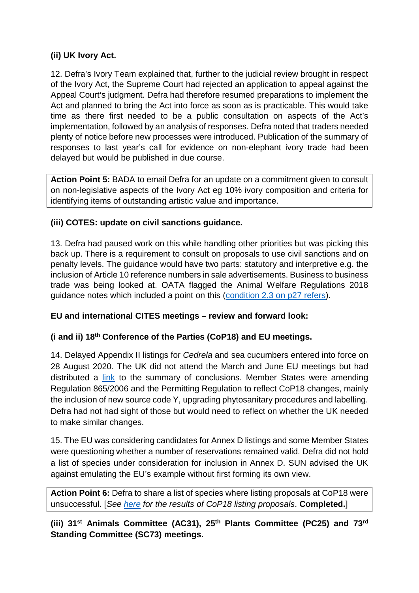## **(ii) UK Ivory Act.**

12. Defra's Ivory Team explained that, further to the judicial review brought in respect of the Ivory Act, the Supreme Court had rejected an application to appeal against the Appeal Court's judgment. Defra had therefore resumed preparations to implement the Act and planned to bring the Act into force as soon as is practicable. This would take time as there first needed to be a public consultation on aspects of the Act's implementation, followed by an analysis of responses. Defra noted that traders needed plenty of notice before new processes were introduced. Publication of the summary of responses to last year's call for evidence on non-elephant ivory trade had been delayed but would be published in due course.

**Action Point 5:** BADA to email Defra for an update on a commitment given to consult on non-legislative aspects of the Ivory Act eg 10% ivory composition and criteria for identifying items of outstanding artistic value and importance.

## **(iii) COTES: update on civil sanctions guidance.**

13. Defra had paused work on this while handling other priorities but was picking this back up. There is a requirement to consult on proposals to use civil sanctions and on penalty levels. The guidance would have two parts: statutory and interpretive e.g. the inclusion of Article 10 reference numbers in sale advertisements. Business to business trade was being looked at. OATA flagged the Animal Welfare Regulations 2018 guidance notes which included a point on this (condition 2.3 on p27 refers).

### **EU and international CITES meetings – review and forward look:**

# **(i and ii) 18th Conference of the Parties (CoP18) and EU meetings.**

14. Delayed Appendix II listings for *Cedrela* and sea cucumbers entered into force on 28 August 2020. The UK did not attend the March and June EU meetings but had distributed a link to the summary of conclusions. Member States were amending Regulation 865/2006 and the Permitting Regulation to reflect CoP18 changes, mainly the inclusion of new source code Y, upgrading phytosanitary procedures and labelling. Defra had not had sight of those but would need to reflect on whether the UK needed to make similar changes.

15. The EU was considering candidates for Annex D listings and some Member States were questioning whether a number of reservations remained valid. Defra did not hold a list of species under consideration for inclusion in Annex D. SUN advised the UK against emulating the EU's example without first forming its own view.

**Action Point 6:** Defra to share a list of species where listing proposals at CoP18 were unsuccessful. [*See here for the results of CoP18 listing proposals*. **Completed.**]

**(iii) 31st Animals Committee (AC31), 25th Plants Committee (PC25) and 73rd Standing Committee (SC73) meetings.**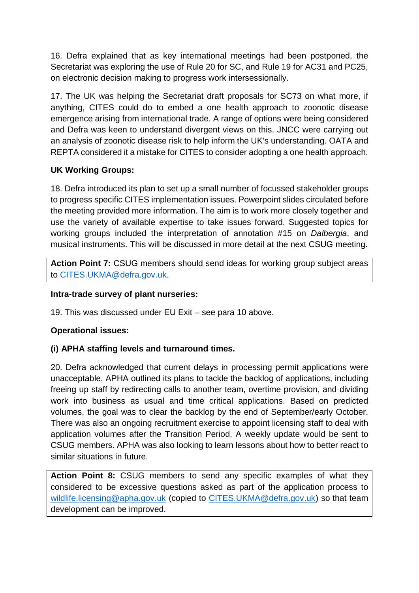16. Defra explained that as key international meetings had been postponed, the Secretariat was exploring the use of Rule 20 for SC, and Rule 19 for AC31 and PC25, on electronic decision making to progress work intersessionally.

17. The UK was helping the Secretariat draft proposals for SC73 on what more, if anything, CITES could do to embed a one health approach to zoonotic disease emergence arising from international trade. A range of options were being considered and Defra was keen to understand divergent views on this. JNCC were carrying out an analysis of zoonotic disease risk to help inform the UK's understanding. OATA and REPTA considered it a mistake for CITES to consider adopting a one health approach.

# **UK Working Groups:**

18. Defra introduced its plan to set up a small number of focussed stakeholder groups to progress specific CITES implementation issues. Powerpoint slides circulated before the meeting provided more information. The aim is to work more closely together and use the variety of available expertise to take issues forward. Suggested topics for working groups included the interpretation of annotation #15 on *Dalbergia*, and musical instruments. This will be discussed in more detail at the next CSUG meeting.

**Action Point 7:** CSUG members should send ideas for working group subject areas to CITES.UKMA@defra.gov.uk.

## **Intra-trade survey of plant nurseries:**

19. This was discussed under EU Exit – see para 10 above.

### **Operational issues:**

# **(i) APHA staffing levels and turnaround times.**

20. Defra acknowledged that current delays in processing permit applications were unacceptable. APHA outlined its plans to tackle the backlog of applications, including freeing up staff by redirecting calls to another team, overtime provision, and dividing work into business as usual and time critical applications. Based on predicted volumes, the goal was to clear the backlog by the end of September/early October. There was also an ongoing recruitment exercise to appoint licensing staff to deal with application volumes after the Transition Period. A weekly update would be sent to CSUG members. APHA was also looking to learn lessons about how to better react to similar situations in future.

**Action Point 8:** CSUG members to send any specific examples of what they considered to be excessive questions asked as part of the application process to wildlife.licensing@apha.gov.uk (copied to CITES.UKMA@defra.gov.uk) so that team development can be improved.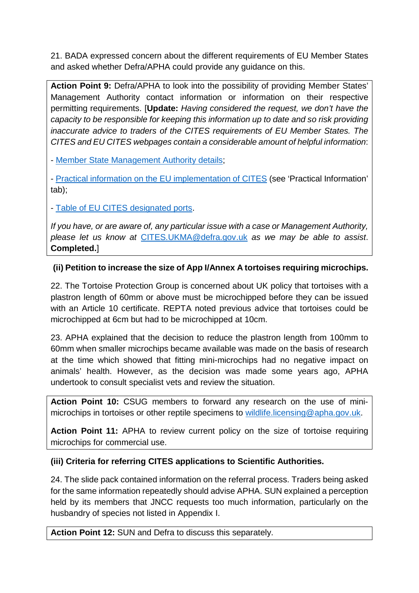21. BADA expressed concern about the different requirements of EU Member States and asked whether Defra/APHA could provide any guidance on this.

**Action Point 9:** Defra/APHA to look into the possibility of providing Member States' Management Authority contact information or information on their respective permitting requirements. [**Update:** *Having considered the request, we don't have the capacity to be responsible for keeping this information up to date and so risk providing inaccurate advice to traders of the CITES requirements of EU Member States. The CITES and EU CITES webpages contain a considerable amount of helpful information*:

- Member State Management Authority details;

- Practical information on the EU implementation of CITES (see 'Practical Information' tab);

- Table of EU CITES designated ports.

*If you have, or are aware of, any particular issue with a case or Management Authority, please let us know at* CITES.UKMA@defra.gov.uk *as we may be able to assist*. **Completed.**]

# **(ii) Petition to increase the size of App I/Annex A tortoises requiring microchips.**

22. The Tortoise Protection Group is concerned about UK policy that tortoises with a plastron length of 60mm or above must be microchipped before they can be issued with an Article 10 certificate. REPTA noted previous advice that tortoises could be microchipped at 6cm but had to be microchipped at 10cm.

23. APHA explained that the decision to reduce the plastron length from 100mm to 60mm when smaller microchips became available was made on the basis of research at the time which showed that fitting mini-microchips had no negative impact on animals' health. However, as the decision was made some years ago, APHA undertook to consult specialist vets and review the situation.

**Action Point 10:** CSUG members to forward any research on the use of minimicrochips in tortoises or other reptile specimens to wildlife.licensing@apha.gov.uk.

**Action Point 11:** APHA to review current policy on the size of tortoise requiring microchips for commercial use.

### **(iii) Criteria for referring CITES applications to Scientific Authorities.**

24. The slide pack contained information on the referral process. Traders being asked for the same information repeatedly should advise APHA. SUN explained a perception held by its members that JNCC requests too much information, particularly on the husbandry of species not listed in Appendix I.

**Action Point 12:** SUN and Defra to discuss this separately.